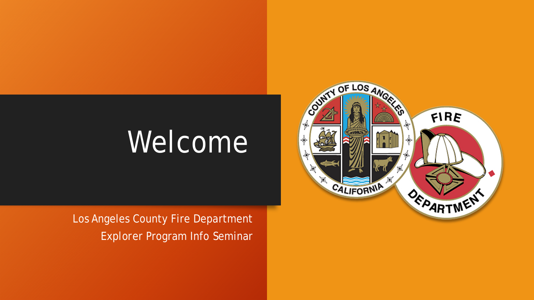# Welcome

Los Angeles County Fire Department Explorer Program Info Seminar

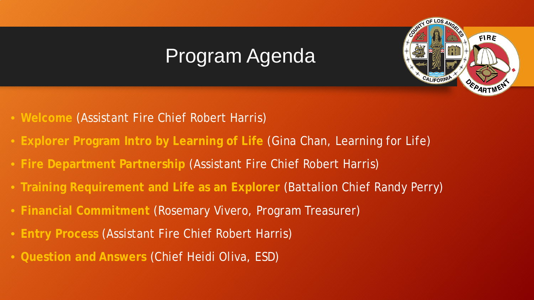## Program Agenda

OF LOS

FIRE

- **Welcome** (Assistant Fire Chief Robert Harris)
- **Explorer Program Intro by Learning of Life** (Gina Chan, Learning for Life)
- **Fire Department Partnership** (Assistant Fire Chief Robert Harris)
- **Training Requirement and Life as an Explorer** (Battalion Chief Randy Perry)
- **Financial Commitment** (Rosemary Vivero, Program Treasurer)
- **Entry Process** (Assistant Fire Chief Robert Harris)
- **Question and Answers** (Chief Heidi Oliva, ESD)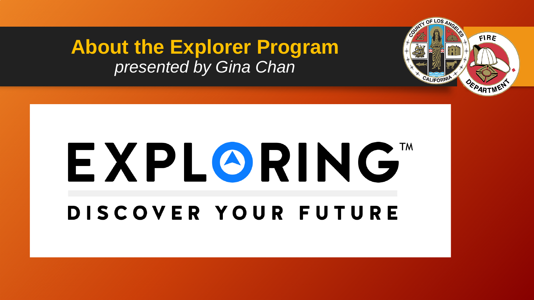#### **About the Explorer Program** *presented by Gina Chan*

# EXPLORING" DISCOVER YOUR FUTURE

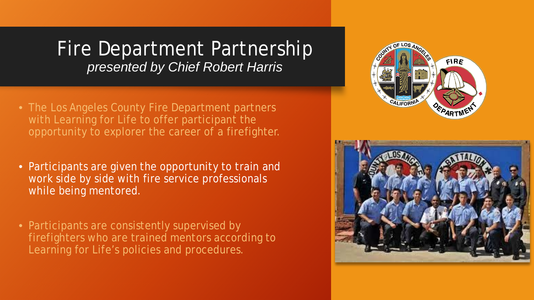#### Fire Department Partnership *presented by Chief Robert Harris*

- The Los Angeles County Fire Department partners with Learning for Life to offer participant the opportunity to explorer the career of a firefighter.
- Participants are given the opportunity to train and work side by side with fire service professionals while being mentored.
- Participants are consistently supervised by firefighters who are trained mentors according to Learning for Life's policies and procedures.



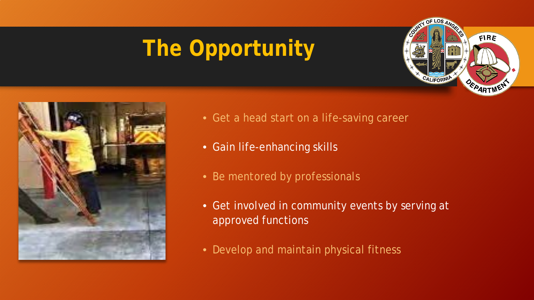## **The Opportunity**





- Get a head start on a life-saving career
- Gain life-enhancing skills
- Be mentored by professionals
- Get involved in community events by serving at approved functions
- Develop and maintain physical fitness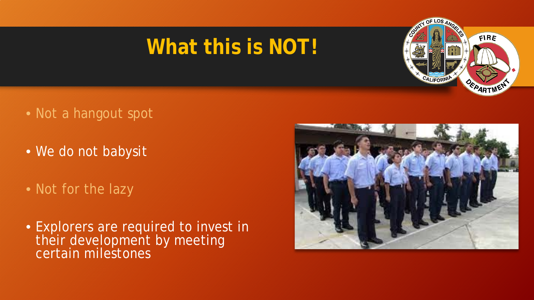## **What this is NOT!**



- Not a hangout spot
- We do not babysit
- Not for the lazy
- Explorers are required to invest in their development by meeting certain milestones

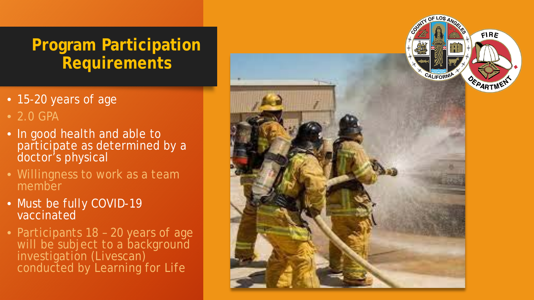#### **Program Participation Requirements**

- 15-20 years of age
- 2.0 GPA
- In good health and able to participate as determined by a doctor's physical
- Willingness to work as a team member
- Must be fully COVID-19 vaccinated
- Participants 18 20 years of age will be subject to a background<br>investigation (Livescan) conducted by Learning for Life

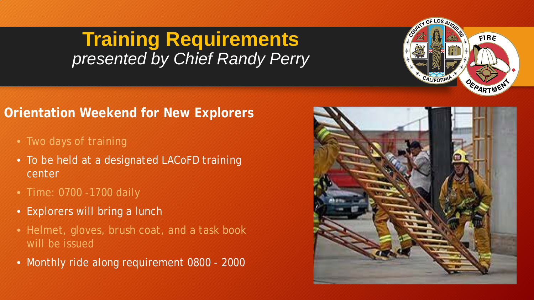#### **Training Requirements** *presented by Chief Randy Perry*

#### **Orientation Weekend for New Explorers**

- Two days of training
- To be held at a designated LACoFD training center
- Time: 0700 -1700 daily
- Explorers will bring a lunch
- Helmet, gloves, brush coat, and a task book will be issued
- Monthly ride along requirement 0800 2000



FIRE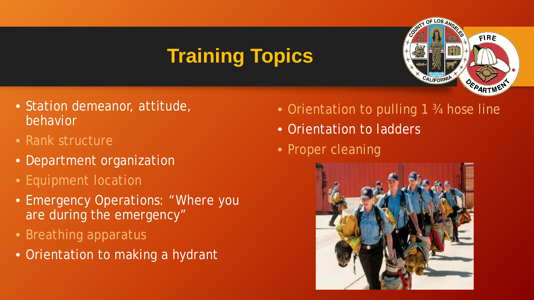## **Training Topics**



- Station demeanor, attitude, behavior
- Rank structure
- Department organization
- Equipment location
- Emergency Operations: "Where you are during the emergency"
- Breathing apparatus
- Orientation to making a hydrant
- Orientation to pulling 1 3/4 hose line
- Orientation to ladders
- Proper cleaning

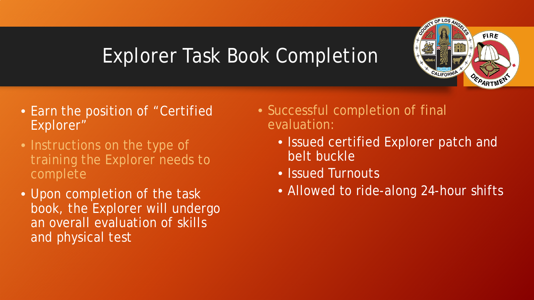## Explorer Task Book Completion



- Instructions on the type of training the Explorer needs to complete
- Upon completion of the task book, the Explorer will undergo an overall evaluation of skills and physical test
- Successful completion of final evaluation:
	- Issued certified Explorer patch and belt buckle
	- Issued Turnouts
	- Allowed to ride-along 24-hour shifts

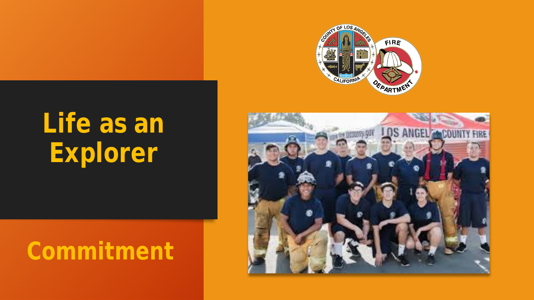

# **Life as an Explorer**

# **Commitment**

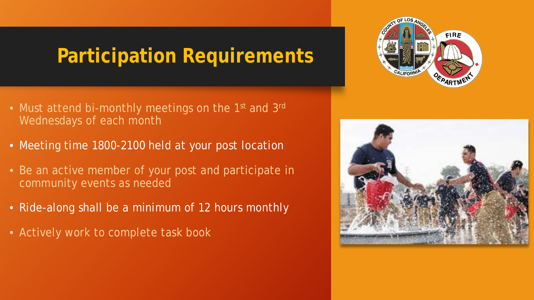#### **Participation Requirements**

- Must attend bi-monthly meetings on the 1<sup>st</sup> and 3<sup>rd</sup> Wednesdays of each month
- Meeting time 1800-2100 held at your post location
- Be an active member of your post and participate in community events as needed
- Ride-along shall be a minimum of 12 hours monthly
- Actively work to complete task book



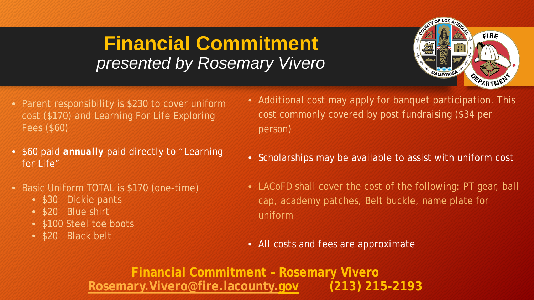#### **Financial Commitment**  *presented by Rosemary Vivero*



- Parent responsibility is \$230 to cover uniform cost (\$170) and Learning For Life Exploring Fees (\$60)
- \$60 paid *annually* paid directly to "Learning for Life"
- Basic Uniform TOTAL is \$170 (one-time)
	- \$30 Dickie pants
	- \$20 Blue shirt
	- \$100 Steel toe boots
	- \$20 Black belt
- Additional cost may apply for banquet participation. This cost commonly covered by post fundraising (\$34 per person)
- Scholarships may be available to assist with uniform cost
- LACoFD shall cover the cost of the following: PT gear, ball cap, academy patches, Belt buckle, name plate for uniform
- *All costs and fees are approximate*

**Financial Commitment – Rosemary Vivero [Rosemary.Vivero@fire.lacounty.gov](mailto:Rosemary.Vivero@fire.lacounty.gov) (213) 215-2193**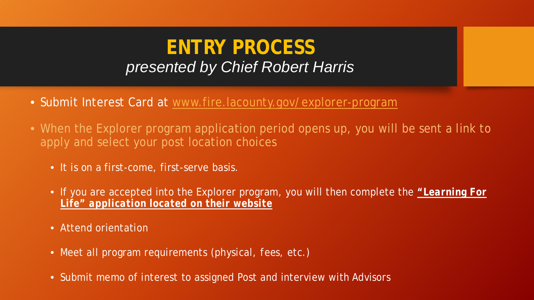#### **ENTRY PROCESS** *presented by Chief Robert Harris*

- Submit Interest Card at [www.fire.lacounty.gov/explorer-program](http://www.fire.lacounty.gov/explorer-program)
- When the Explorer program application period opens up, you will be sent a link to apply and select your post location choices
	- It is on a first-come, first-serve basis.
	- If you are accepted into the Explorer program, you will then complete the *"Learning For Life" application located on their website*
	- Attend orientation
	- Meet all program requirements *(physical, fees, etc.)*
	- Submit memo of interest to assigned Post and interview with Advisors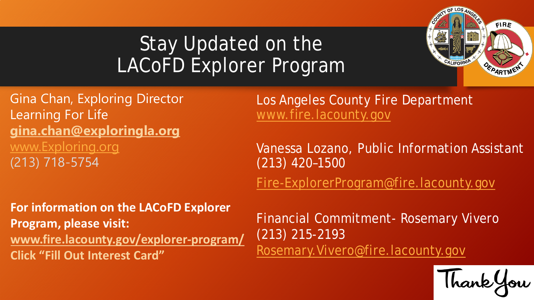## Stay Updated on the LACoFD Explorer Program



Gina Chan, Exploring Director Learning For Life **[gina.chan@exploringla.org](mailto:gina.chan@exploringla.org)** [www.Exploring.org](http://www.exploring.org/) (213) 718-5754

Los Angeles County Fire Department [www.fire.lacounty.gov](http://www.fire.lacounty.gov/)

Vanessa Lozano, Public Information Assistant (213) 420–1500

[Fire-ExplorerProgram@fire.lacounty.gov](mailto:Fire-ExplorerProgram@fire.lacounty.gov)

**For information on the LACoFD Explorer Program, please visit: [www.fire.lacounty.gov/explorer-program/](http://www.fire.lacounty.gov/explorer-program/) Click "Fill Out Interest Card"**

Financial Commitment- Rosemary Vivero (213) 215-2193 [Rosemary.Vivero@fire.lacounty.gov](mailto:Rosemary.Vivero@fire.lacounty.gov)

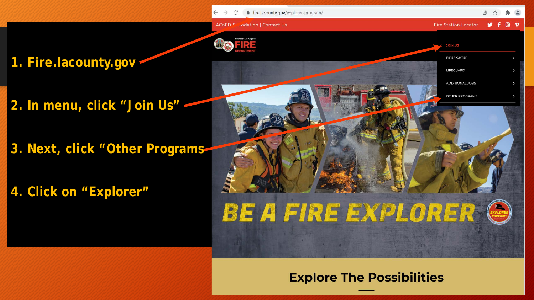. ⊙ ν



**ACoFD F** undation | Contact Us

fire.lacounty.gov/explorer-program/

**1. Fire.lacounty.gov**

- **2. In menu, click "Join Us"**
- **3. Next, click "Other Programs**

**4. Click on "Explorer"**



#### **Explore The Possibilities**